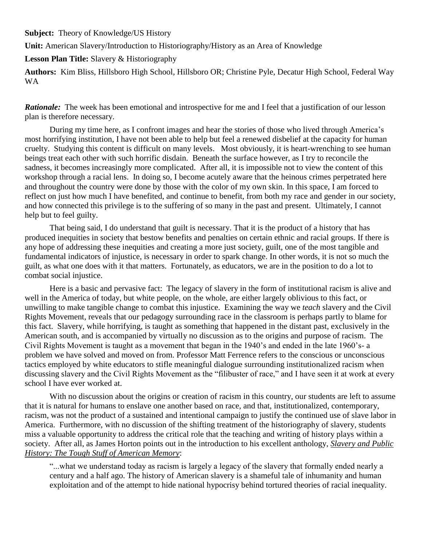**Subject:** Theory of Knowledge/US History

**Unit:** American Slavery/Introduction to Historiography/History as an Area of Knowledge

**Lesson Plan Title:** Slavery & Historiography

**Authors:** Kim Bliss, Hillsboro High School, Hillsboro OR; Christine Pyle, Decatur High School, Federal Way WA

*Rationale:* The week has been emotional and introspective for me and I feel that a justification of our lesson plan is therefore necessary.

During my time here, as I confront images and hear the stories of those who lived through America's most horrifying institution, I have not been able to help but feel a renewed disbelief at the capacity for human cruelty. Studying this content is difficult on many levels. Most obviously, it is heart-wrenching to see human beings treat each other with such horrific disdain. Beneath the surface however, as I try to reconcile the sadness, it becomes increasingly more complicated. After all, it is impossible not to view the content of this workshop through a racial lens. In doing so, I become acutely aware that the heinous crimes perpetrated here and throughout the country were done by those with the color of my own skin. In this space, I am forced to reflect on just how much I have benefited, and continue to benefit, from both my race and gender in our society, and how connected this privilege is to the suffering of so many in the past and present. Ultimately, I cannot help but to feel guilty.

That being said, I do understand that guilt is necessary. That it is the product of a history that has produced inequities in society that bestow benefits and penalties on certain ethnic and racial groups. If there is any hope of addressing these inequities and creating a more just society, guilt, one of the most tangible and fundamental indicators of injustice, is necessary in order to spark change. In other words, it is not so much the guilt, as what one does with it that matters. Fortunately, as educators, we are in the position to do a lot to combat social injustice.

Here is a basic and pervasive fact: The legacy of slavery in the form of institutional racism is alive and well in the America of today, but white people, on the whole, are either largely oblivious to this fact, or unwilling to make tangible change to combat this injustice. Examining the way we *teach* slavery and the Civil Rights Movement, reveals that our pedagogy surrounding race in the classroom is perhaps partly to blame for this fact. Slavery, while horrifying, is taught as something that happened in the distant past, exclusively in the American south, and is accompanied by virtually no discussion as to the origins and purpose of racism. The Civil Rights Movement is taught as a movement that began in the 1940's and ended in the late 1960's- a problem we have solved and moved on from. Professor Matt Ferrence refers to the conscious or unconscious tactics employed by white educators to stifle meaningful dialogue surrounding institutionalized racism when discussing slavery and the Civil Rights Movement as the "filibuster of race," and I have seen it at work at every school I have ever worked at.

With no discussion about the origins or creation of racism in this country, our students are left to assume that it is natural for humans to enslave one another based on race, and that, institutionalized, contemporary, racism, was not the product of a sustained and intentional campaign to justify the continued use of slave labor in America. Furthermore, with no discussion of the shifting treatment of the historiography of slavery, students miss a valuable opportunity to address the critical role that the teaching and writing of history plays within a society. After all, as James Horton points out in the introduction to his excellent anthology, *Slavery and Public History: The Tough Stuff of American Memory*:

"...what we understand today as racism is largely a legacy of the slavery that formally ended nearly a century and a half ago. The history of American slavery is a shameful tale of inhumanity and human exploitation and of the attempt to hide national hypocrisy behind tortured theories of racial inequality.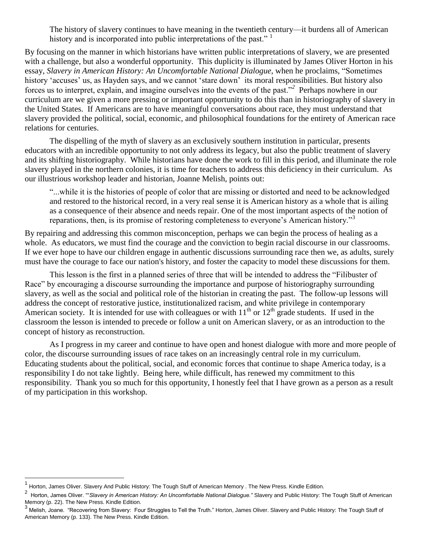The history of slavery continues to have meaning in the twentieth century—it burdens all of American history and is incorporated into public interpretations of the past." <sup>1</sup>

By focusing on the manner in which historians have written public interpretations of slavery, we are presented with a challenge, but also a wonderful opportunity. This duplicity is illuminated by James Oliver Horton in his essay, *Slavery in American History: An Uncomfortable National Dialogue*, when he proclaims, "Sometimes history 'accuses' us, as Hayden says, and we cannot 'stare down' its moral responsibilities. But history also forces us to interpret, explain, and imagine ourselves into the events of the past."<sup>2</sup> Perhaps nowhere in our curriculum are we given a more pressing or important opportunity to do this than in historiography of slavery in the United States. If Americans are to have meaningful conversations about race, they must understand that slavery provided the political, social, economic, and philosophical foundations for the entirety of American race relations for centuries.

The dispelling of the myth of slavery as an exclusively southern institution in particular, presents educators with an incredible opportunity to not only address its legacy, but also the public treatment of slavery and its shifting historiography. While historians have done the work to fill in this period, and illuminate the role slavery played in the northern colonies, it is time for teachers to address this deficiency in their curriculum. As our illustrious workshop leader and historian, Joanne Melish, points out:

"...while it is the histories of people of color that are missing or distorted and need to be acknowledged and restored to the historical record, in a very real sense it is American history as a whole that is ailing as a consequence of their absence and needs repair. One of the most important aspects of the notion of reparations, then, is its promise of restoring completeness to everyone's American history."<sup>3</sup>

By repairing and addressing this common misconception, perhaps we can begin the process of healing as a whole. As educators, we must find the courage and the conviction to begin racial discourse in our classrooms. If we ever hope to have our children engage in authentic discussions surrounding race then we, as adults, surely must have the courage to face our nation's history, and foster the capacity to model these discussions for them.

This lesson is the first in a planned series of three that will be intended to address the "Filibuster of Race" by encouraging a discourse surrounding the importance and purpose of historiography surrounding slavery, as well as the social and political role of the historian in creating the past. The follow-up lessons will address the concept of restorative justice, institutionalized racism, and white privilege in contemporary American society. It is intended for use with colleagues or with  $11<sup>th</sup>$  or  $12<sup>th</sup>$  grade students. If used in the classroom the lesson is intended to precede or follow a unit on American slavery, or as an introduction to the concept of history as reconstruction.

As I progress in my career and continue to have open and honest dialogue with more and more people of color, the discourse surrounding issues of race takes on an increasingly central role in my curriculum. Educating students about the political, social, and economic forces that continue to shape America today, is a responsibility I do not take lightly. Being here, while difficult, has renewed my commitment to this responsibility. Thank you so much for this opportunity, I honestly feel that I have grown as a person as a result of my participation in this workshop.

 $\overline{a}$ 

<sup>1</sup> Horton, James Oliver. Slavery And Public History: The Tough Stuff of American Memory . The New Press. Kindle Edition.

<sup>&</sup>lt;sup>2</sup> Horton, James Oliver. ""Slavery in American History: An Uncomfortable National Dialogue." Slavery and Public History: The Tough Stuff of American Memory (p. 22). The New Press. Kindle Edition.

<sup>&</sup>lt;sup>3</sup> Melish, Joane. "Recovering from Slavery: Four Struggles to Tell the Truth." Horton, James Oliver. Slavery and Public History: The Tough Stuff of American Memory (p. 133). The New Press. Kindle Edition.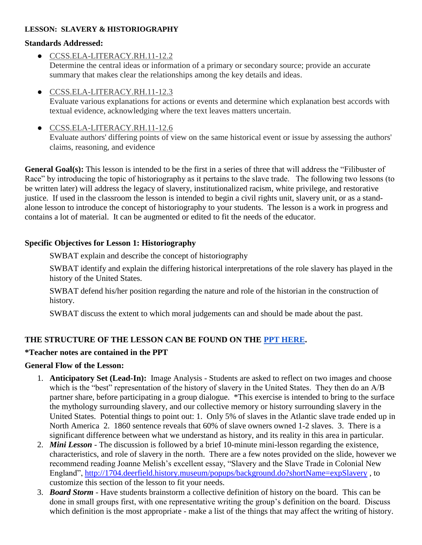#### **LESSON: SLAVERY & HISTORIOGRAPHY**

#### **Standards Addressed:**

- [CCSS.ELA-LITERACY.RH.11-12.2](http://www.corestandards.org/ELA-Literacy/RH/11-12/2/) Determine the central ideas or information of a primary or secondary source; provide an accurate summary that makes clear the relationships among the key details and ideas.
- [CCSS.ELA-LITERACY.RH.11-12.3](http://www.corestandards.org/ELA-Literacy/RH/11-12/3/)

Evaluate various explanations for actions or events and determine which explanation best accords with textual evidence, acknowledging where the text leaves matters uncertain.

● [CCSS.ELA-LITERACY.RH.11-12.6](http://www.corestandards.org/ELA-Literacy/RH/11-12/6/)

Evaluate authors' differing points of view on the same historical event or issue by assessing the authors' claims, reasoning, and evidence

**General Goal(s):** This lesson is intended to be the first in a series of three that will address the "Filibuster of Race" by introducing the topic of historiography as it pertains to the slave trade. The following two lessons (to be written later) will address the legacy of slavery, institutionalized racism, white privilege, and restorative justice. If used in the classroom the lesson is intended to begin a civil rights unit, slavery unit, or as a standalone lesson to introduce the concept of historiography to your students. The lesson is a work in progress and contains a lot of material. It can be augmented or edited to fit the needs of the educator.

### **Specific Objectives for Lesson 1: Historiography**

SWBAT explain and describe the concept of historiography

SWBAT identify and explain the differing historical interpretations of the role slavery has played in the history of the United States.

SWBAT defend his/her position regarding the nature and role of the historian in the construction of history.

SWBAT discuss the extent to which moral judgements can and should be made about the past.

# **THE STRUCTURE OF THE LESSON CAN BE FOUND ON THE [PPT HERE.](https://docs.google.com/presentation/d/1_x1Fz0my_9dx-O9kqPeeKktZKBTMaps0-pE5mMCbgIE/edit#slide=id.p)**

### **\*Teacher notes are contained in the PPT**

### **General Flow of the Lesson:**

- 1. **Anticipatory Set (Lead-In):** Image Analysis Students are asked to reflect on two images and choose which is the "best" representation of the history of slavery in the United States. They then do an A/B partner share, before participating in a group dialogue. \*This exercise is intended to bring to the surface the mythology surrounding slavery, and our collective memory or history surrounding slavery in the United States. Potential things to point out: 1. Only 5% of slaves in the Atlantic slave trade ended up in North America 2. 1860 sentence reveals that 60% of slave owners owned 1-2 slaves. 3. There is a significant difference between what we understand as history, and its reality in this area in particular.
- 2. *Mini Lesson*  The discussion is followed by a brief 10-minute mini-lesson regarding the existence, characteristics, and role of slavery in the north. There are a few notes provided on the slide, however we recommend reading Joanne Melish's excellent essay, "Slavery and the Slave Trade in Colonial New England",<http://1704.deerfield.history.museum/popups/background.do?shortName=expSlavery> , to customize this section of the lesson to fit your needs.
- 3. *Board Storm* Have students brainstorm a collective definition of history on the board. This can be done in small groups first, with one representative writing the group's definition on the board. Discuss which definition is the most appropriate - make a list of the things that may affect the writing of history.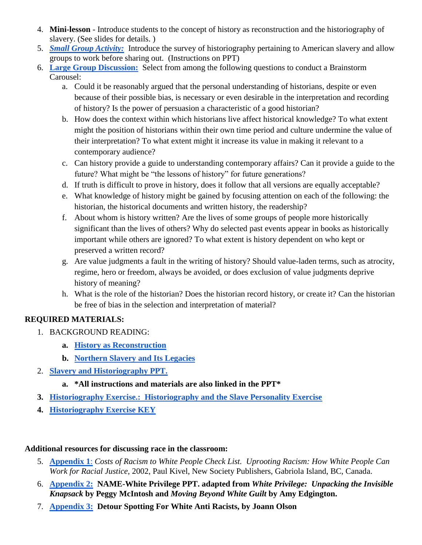- 4. **Mini-lesson** Introduce students to the concept of history as reconstruction and the historiography of slavery. (See slides for details. )
- 5. *[Small Group Activity:](https://docs.google.com/document/d/109SRrCS-ID1d7VgzP8Sxwj-MQwoaUXJhSR8bvj9rBWw/edit)* Introduce the survey of historiography pertaining to American slavery and allow groups to work before sharing out. (Instructions on PPT)
- 6. **[Large Group Discussion:](https://docs.google.com/presentation/d/1_x1Fz0my_9dx-O9kqPeeKktZKBTMaps0-pE5mMCbgIE/edit#slide=id.g24b0bf1ec8_0_83)** Select from among the following questions to conduct a Brainstorm Carousel:
	- a. Could it be reasonably argued that the personal understanding of historians, despite or even because of their possible bias, is necessary or even desirable in the interpretation and recording of history? Is the power of persuasion a characteristic of a good historian?
	- b. How does the context within which historians live affect historical knowledge? To what extent might the position of historians within their own time period and culture undermine the value of their interpretation? To what extent might it increase its value in making it relevant to a contemporary audience?
	- c. Can history provide a guide to understanding contemporary affairs? Can it provide a guide to the future? What might be "the lessons of history" for future generations?
	- d. If truth is difficult to prove in history, does it follow that all versions are equally acceptable?
	- e. What knowledge of history might be gained by focusing attention on each of the following: the historian, the historical documents and written history, the readership?
	- f. About whom is history written? Are the lives of some groups of people more historically significant than the lives of others? Why do selected past events appear in books as historically important while others are ignored? To what extent is history dependent on who kept or preserved a written record?
	- g. Are value judgments a fault in the writing of history? Should value-laden terms, such as atrocity, regime, hero or freedom, always be avoided, or does exclusion of value judgments deprive history of meaning?
	- h. What is the role of the historian? Does the historian record history, or create it? Can the historian be free of bias in the selection and interpretation of material?

# **REQUIRED MATERIALS:**

- 1. BACKGROUND READING:
	- **a. [History as Reconstruction](https://drive.google.com/file/d/0BzSn9HAMJS9jWUVROENOVWZNZzA/view?usp=sharing)**
	- **b. [Northern Slavery and Its Legacies](https://drive.google.com/file/d/0BzSn9HAMJS9jcURvZ2FrUnEwTGM/view?usp=sharing)**
- 2. **[Slavery and Historiography PPT.](https://docs.google.com/presentation/d/1_x1Fz0my_9dx-O9kqPeeKktZKBTMaps0-pE5mMCbgIE/edit#slide=id.g24b0bf1ec8_0_249)** 
	- **a. \*All instructions and materials are also linked in the PPT\***
- **3. [Historiography Exercise.: Historiography and the Slave Personality Exercise](https://docs.google.com/document/d/109SRrCS-ID1d7VgzP8Sxwj-MQwoaUXJhSR8bvj9rBWw/edit)**
- **4. [Historiography Exercise KEY](https://docs.google.com/document/d/1AqLNF2Jidq1vkJrFuVhCvrBzlx_8GT3vpVH4hoUIhw4/edit)**

# **Additional resources for discussing race in the classroom:**

- 5. **[Appendix 1](https://drive.google.com/file/d/0BzSn9HAMJS9jb2NZNjBDQVhGRmM/view?usp=sharing)**[:](https://drive.google.com/file/d/0BzSn9HAMJS9jb2NZNjBDQVhGRmM/view?usp=sharing) *Costs of Racism to White People Check List. Uprooting Racism: How White People Can Work for Racial Justice*, 2002, Paul Kivel, New Society Publishers, Gabriola Island, BC, Canada.
- 6. **[Appendix 2:](https://docs.google.com/presentation/d/11SIC6R9203MUxBS7Im-ljH34tY3yS9eUrhdbiFgJLdk/edit?usp=sharing) NAME-White Privilege PPT. adapted from** *White Privilege: Unpacking the Invisible Knapsack* **by Peggy McIntosh and** *Moving Beyond White Guilt* **by Amy Edgington.**
- 7. **[Appendix 3:](https://drive.google.com/file/d/0BzSn9HAMJS9jSEdVX2JIYjBPcE0/view?usp=sharing) Detour Spotting For White Anti Racists, by Joann Olson**